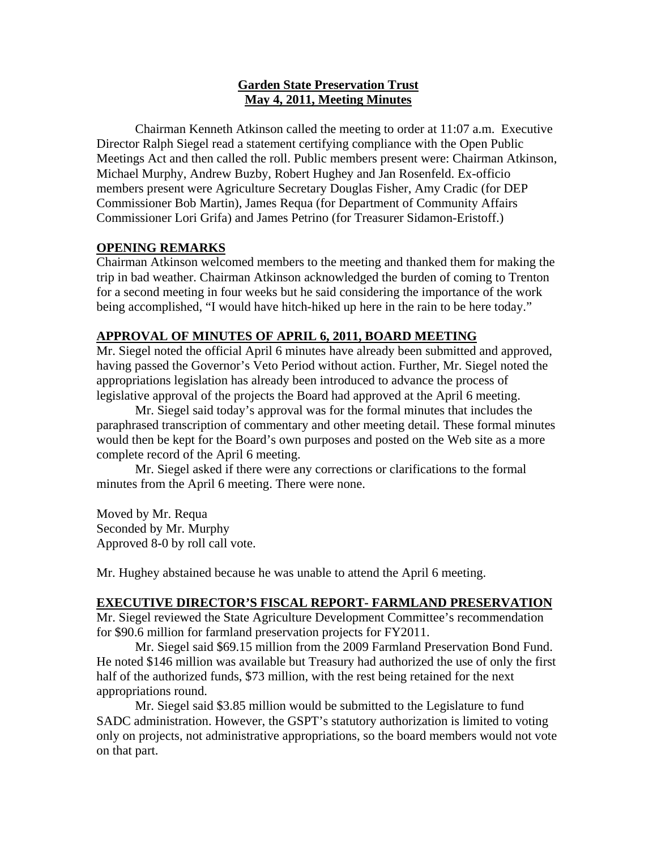## **Garden State Preservation Trust May 4, 2011, Meeting Minutes**

Chairman Kenneth Atkinson called the meeting to order at 11:07 a.m. Executive Director Ralph Siegel read a statement certifying compliance with the Open Public Meetings Act and then called the roll. Public members present were: Chairman Atkinson, Michael Murphy, Andrew Buzby, Robert Hughey and Jan Rosenfeld. Ex-officio members present were Agriculture Secretary Douglas Fisher, Amy Cradic (for DEP Commissioner Bob Martin), James Requa (for Department of Community Affairs Commissioner Lori Grifa) and James Petrino (for Treasurer Sidamon-Eristoff.)

# **OPENING REMARKS**

Chairman Atkinson welcomed members to the meeting and thanked them for making the trip in bad weather. Chairman Atkinson acknowledged the burden of coming to Trenton for a second meeting in four weeks but he said considering the importance of the work being accomplished, "I would have hitch-hiked up here in the rain to be here today."

## **APPROVAL OF MINUTES OF APRIL 6, 2011, BOARD MEETING**

Mr. Siegel noted the official April 6 minutes have already been submitted and approved, having passed the Governor's Veto Period without action. Further, Mr. Siegel noted the appropriations legislation has already been introduced to advance the process of legislative approval of the projects the Board had approved at the April 6 meeting.

 Mr. Siegel said today's approval was for the formal minutes that includes the paraphrased transcription of commentary and other meeting detail. These formal minutes would then be kept for the Board's own purposes and posted on the Web site as a more complete record of the April 6 meeting.

 Mr. Siegel asked if there were any corrections or clarifications to the formal minutes from the April 6 meeting. There were none.

Moved by Mr. Requa Seconded by Mr. Murphy Approved 8-0 by roll call vote.

Mr. Hughey abstained because he was unable to attend the April 6 meeting.

## **EXECUTIVE DIRECTOR'S FISCAL REPORT- FARMLAND PRESERVATION**

Mr. Siegel reviewed the State Agriculture Development Committee's recommendation for \$90.6 million for farmland preservation projects for FY2011.

 Mr. Siegel said \$69.15 million from the 2009 Farmland Preservation Bond Fund. He noted \$146 million was available but Treasury had authorized the use of only the first half of the authorized funds, \$73 million, with the rest being retained for the next appropriations round.

 Mr. Siegel said \$3.85 million would be submitted to the Legislature to fund SADC administration. However, the GSPT's statutory authorization is limited to voting only on projects, not administrative appropriations, so the board members would not vote on that part.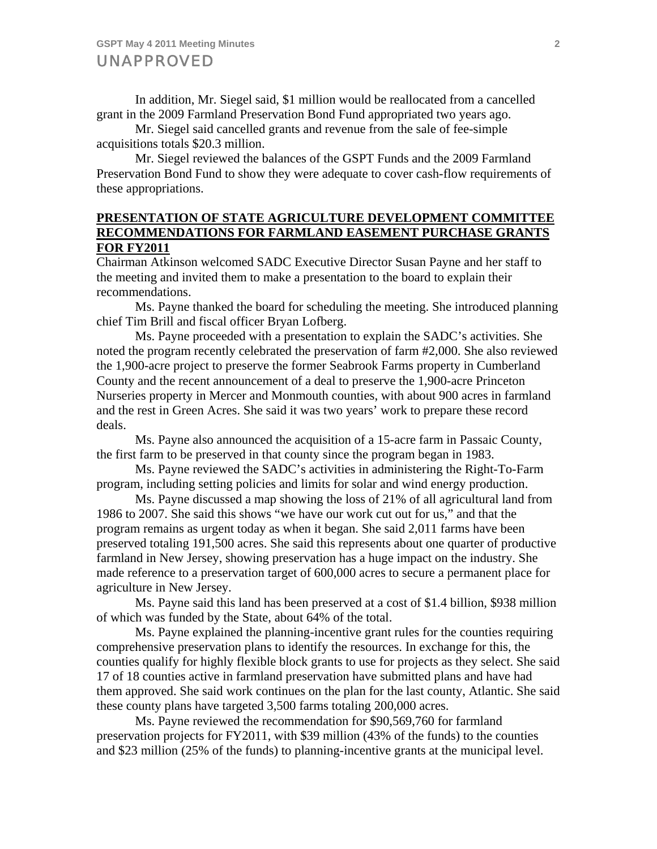In addition, Mr. Siegel said, \$1 million would be reallocated from a cancelled grant in the 2009 Farmland Preservation Bond Fund appropriated two years ago.

 Mr. Siegel said cancelled grants and revenue from the sale of fee-simple acquisitions totals \$20.3 million.

 Mr. Siegel reviewed the balances of the GSPT Funds and the 2009 Farmland Preservation Bond Fund to show they were adequate to cover cash-flow requirements of these appropriations.

## **PRESENTATION OF STATE AGRICULTURE DEVELOPMENT COMMITTEE RECOMMENDATIONS FOR FARMLAND EASEMENT PURCHASE GRANTS FOR FY2011**

Chairman Atkinson welcomed SADC Executive Director Susan Payne and her staff to the meeting and invited them to make a presentation to the board to explain their recommendations.

 Ms. Payne thanked the board for scheduling the meeting. She introduced planning chief Tim Brill and fiscal officer Bryan Lofberg.

 Ms. Payne proceeded with a presentation to explain the SADC's activities. She noted the program recently celebrated the preservation of farm #2,000. She also reviewed the 1,900-acre project to preserve the former Seabrook Farms property in Cumberland County and the recent announcement of a deal to preserve the 1,900-acre Princeton Nurseries property in Mercer and Monmouth counties, with about 900 acres in farmland and the rest in Green Acres. She said it was two years' work to prepare these record deals.

 Ms. Payne also announced the acquisition of a 15-acre farm in Passaic County, the first farm to be preserved in that county since the program began in 1983.

 Ms. Payne reviewed the SADC's activities in administering the Right-To-Farm program, including setting policies and limits for solar and wind energy production.

 Ms. Payne discussed a map showing the loss of 21% of all agricultural land from 1986 to 2007. She said this shows "we have our work cut out for us," and that the program remains as urgent today as when it began. She said 2,011 farms have been preserved totaling 191,500 acres. She said this represents about one quarter of productive farmland in New Jersey, showing preservation has a huge impact on the industry. She made reference to a preservation target of 600,000 acres to secure a permanent place for agriculture in New Jersey.

 Ms. Payne said this land has been preserved at a cost of \$1.4 billion, \$938 million of which was funded by the State, about 64% of the total.

 Ms. Payne explained the planning-incentive grant rules for the counties requiring comprehensive preservation plans to identify the resources. In exchange for this, the counties qualify for highly flexible block grants to use for projects as they select. She said 17 of 18 counties active in farmland preservation have submitted plans and have had them approved. She said work continues on the plan for the last county, Atlantic. She said these county plans have targeted 3,500 farms totaling 200,000 acres.

 Ms. Payne reviewed the recommendation for \$90,569,760 for farmland preservation projects for FY2011, with \$39 million (43% of the funds) to the counties and \$23 million (25% of the funds) to planning-incentive grants at the municipal level.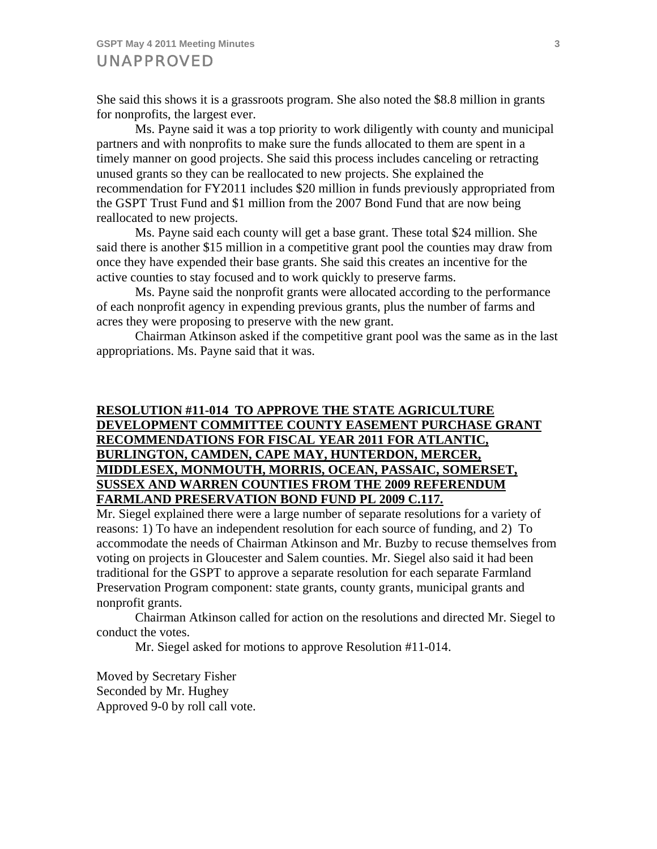She said this shows it is a grassroots program. She also noted the \$8.8 million in grants for nonprofits, the largest ever.

 Ms. Payne said it was a top priority to work diligently with county and municipal partners and with nonprofits to make sure the funds allocated to them are spent in a timely manner on good projects. She said this process includes canceling or retracting unused grants so they can be reallocated to new projects. She explained the recommendation for FY2011 includes \$20 million in funds previously appropriated from the GSPT Trust Fund and \$1 million from the 2007 Bond Fund that are now being reallocated to new projects.

 Ms. Payne said each county will get a base grant. These total \$24 million. She said there is another \$15 million in a competitive grant pool the counties may draw from once they have expended their base grants. She said this creates an incentive for the active counties to stay focused and to work quickly to preserve farms.

 Ms. Payne said the nonprofit grants were allocated according to the performance of each nonprofit agency in expending previous grants, plus the number of farms and acres they were proposing to preserve with the new grant.

 Chairman Atkinson asked if the competitive grant pool was the same as in the last appropriations. Ms. Payne said that it was.

# **RESOLUTION #11-014 TO APPROVE THE STATE AGRICULTURE DEVELOPMENT COMMITTEE COUNTY EASEMENT PURCHASE GRANT RECOMMENDATIONS FOR FISCAL YEAR 2011 FOR ATLANTIC, BURLINGTON, CAMDEN, CAPE MAY, HUNTERDON, MERCER, MIDDLESEX, MONMOUTH, MORRIS, OCEAN, PASSAIC, SOMERSET, SUSSEX AND WARREN COUNTIES FROM THE 2009 REFERENDUM FARMLAND PRESERVATION BOND FUND PL 2009 C.117.**

Mr. Siegel explained there were a large number of separate resolutions for a variety of reasons: 1) To have an independent resolution for each source of funding, and 2) To accommodate the needs of Chairman Atkinson and Mr. Buzby to recuse themselves from voting on projects in Gloucester and Salem counties. Mr. Siegel also said it had been traditional for the GSPT to approve a separate resolution for each separate Farmland Preservation Program component: state grants, county grants, municipal grants and nonprofit grants.

 Chairman Atkinson called for action on the resolutions and directed Mr. Siegel to conduct the votes.

Mr. Siegel asked for motions to approve Resolution #11-014.

Moved by Secretary Fisher Seconded by Mr. Hughey Approved 9-0 by roll call vote.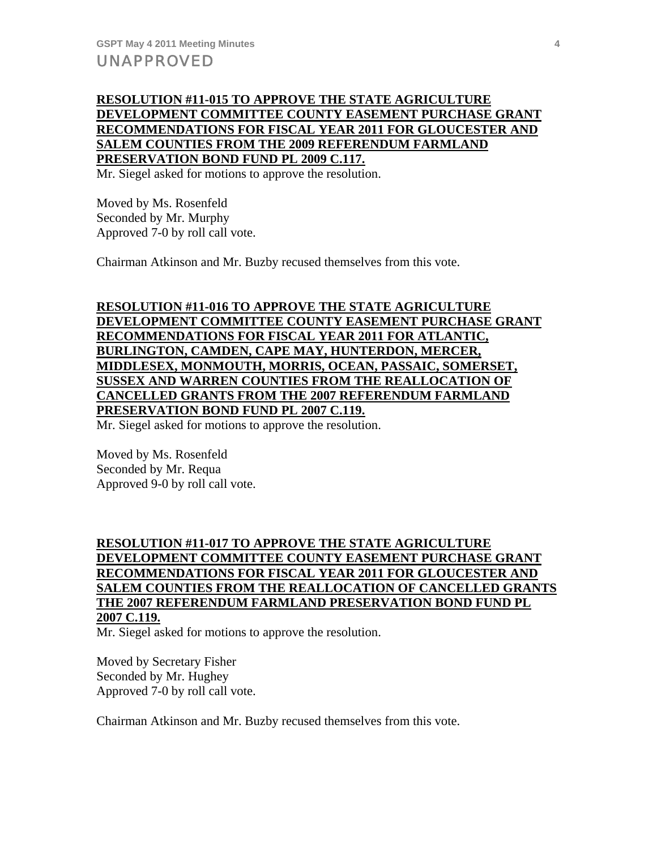## **RESOLUTION #11-015 TO APPROVE THE STATE AGRICULTURE DEVELOPMENT COMMITTEE COUNTY EASEMENT PURCHASE GRANT RECOMMENDATIONS FOR FISCAL YEAR 2011 FOR GLOUCESTER AND SALEM COUNTIES FROM THE 2009 REFERENDUM FARMLAND PRESERVATION BOND FUND PL 2009 C.117.**

Mr. Siegel asked for motions to approve the resolution.

Moved by Ms. Rosenfeld Seconded by Mr. Murphy Approved 7-0 by roll call vote.

Chairman Atkinson and Mr. Buzby recused themselves from this vote.

# **RESOLUTION #11-016 TO APPROVE THE STATE AGRICULTURE DEVELOPMENT COMMITTEE COUNTY EASEMENT PURCHASE GRANT RECOMMENDATIONS FOR FISCAL YEAR 2011 FOR ATLANTIC, BURLINGTON, CAMDEN, CAPE MAY, HUNTERDON, MERCER, MIDDLESEX, MONMOUTH, MORRIS, OCEAN, PASSAIC, SOMERSET, SUSSEX AND WARREN COUNTIES FROM THE REALLOCATION OF CANCELLED GRANTS FROM THE 2007 REFERENDUM FARMLAND PRESERVATION BOND FUND PL 2007 C.119.**

Mr. Siegel asked for motions to approve the resolution.

Moved by Ms. Rosenfeld Seconded by Mr. Requa Approved 9-0 by roll call vote.

# **RESOLUTION #11-017 TO APPROVE THE STATE AGRICULTURE DEVELOPMENT COMMITTEE COUNTY EASEMENT PURCHASE GRANT RECOMMENDATIONS FOR FISCAL YEAR 2011 FOR GLOUCESTER AND SALEM COUNTIES FROM THE REALLOCATION OF CANCELLED GRANTS THE 2007 REFERENDUM FARMLAND PRESERVATION BOND FUND PL 2007 C.119.**

Mr. Siegel asked for motions to approve the resolution.

Moved by Secretary Fisher Seconded by Mr. Hughey Approved 7-0 by roll call vote.

Chairman Atkinson and Mr. Buzby recused themselves from this vote.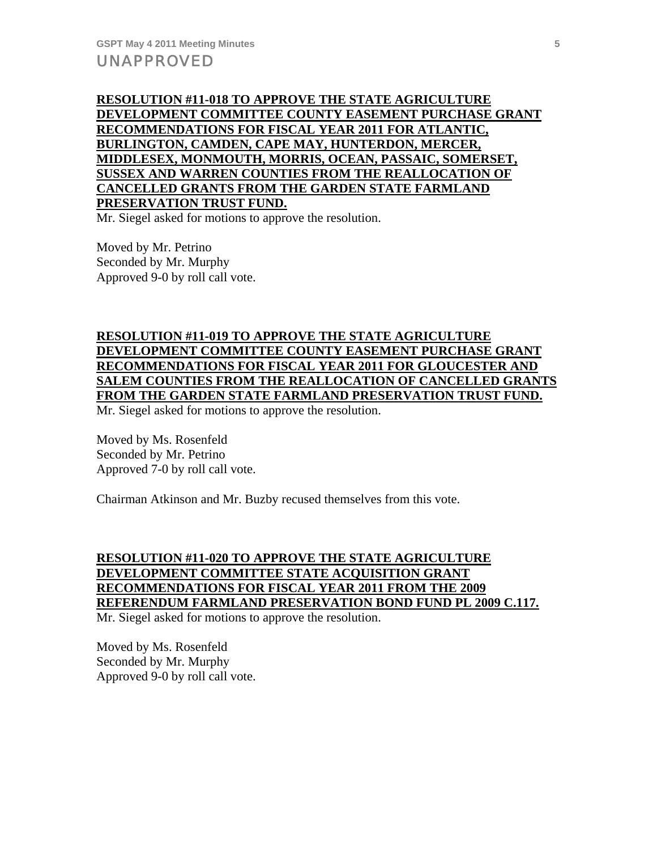**RESOLUTION #11-018 TO APPROVE THE STATE AGRICULTURE DEVELOPMENT COMMITTEE COUNTY EASEMENT PURCHASE GRANT RECOMMENDATIONS FOR FISCAL YEAR 2011 FOR ATLANTIC, BURLINGTON, CAMDEN, CAPE MAY, HUNTERDON, MERCER, MIDDLESEX, MONMOUTH, MORRIS, OCEAN, PASSAIC, SOMERSET, SUSSEX AND WARREN COUNTIES FROM THE REALLOCATION OF CANCELLED GRANTS FROM THE GARDEN STATE FARMLAND PRESERVATION TRUST FUND.**

Mr. Siegel asked for motions to approve the resolution.

Moved by Mr. Petrino Seconded by Mr. Murphy Approved 9-0 by roll call vote.

# **RESOLUTION #11-019 TO APPROVE THE STATE AGRICULTURE DEVELOPMENT COMMITTEE COUNTY EASEMENT PURCHASE GRANT RECOMMENDATIONS FOR FISCAL YEAR 2011 FOR GLOUCESTER AND SALEM COUNTIES FROM THE REALLOCATION OF CANCELLED GRANTS FROM THE GARDEN STATE FARMLAND PRESERVATION TRUST FUND.**

Mr. Siegel asked for motions to approve the resolution.

Moved by Ms. Rosenfeld Seconded by Mr. Petrino Approved 7-0 by roll call vote.

Chairman Atkinson and Mr. Buzby recused themselves from this vote.

# **RESOLUTION #11-020 TO APPROVE THE STATE AGRICULTURE DEVELOPMENT COMMITTEE STATE ACQUISITION GRANT RECOMMENDATIONS FOR FISCAL YEAR 2011 FROM THE 2009 REFERENDUM FARMLAND PRESERVATION BOND FUND PL 2009 C.117.**

Mr. Siegel asked for motions to approve the resolution.

Moved by Ms. Rosenfeld Seconded by Mr. Murphy Approved 9-0 by roll call vote.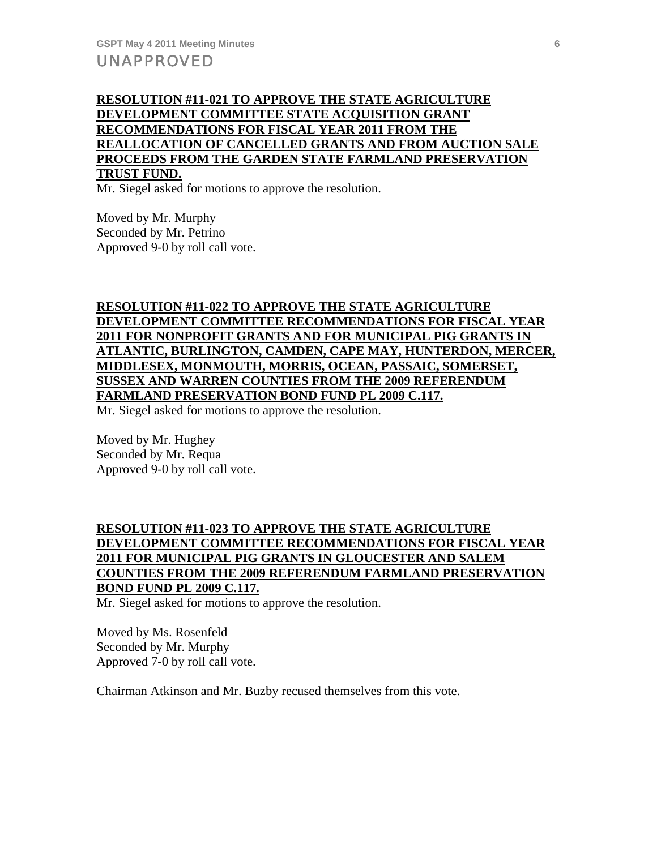# **RESOLUTION #11-021 TO APPROVE THE STATE AGRICULTURE DEVELOPMENT COMMITTEE STATE ACQUISITION GRANT RECOMMENDATIONS FOR FISCAL YEAR 2011 FROM THE REALLOCATION OF CANCELLED GRANTS AND FROM AUCTION SALE PROCEEDS FROM THE GARDEN STATE FARMLAND PRESERVATION TRUST FUND.**

Mr. Siegel asked for motions to approve the resolution.

Moved by Mr. Murphy Seconded by Mr. Petrino Approved 9-0 by roll call vote.

# **RESOLUTION #11-022 TO APPROVE THE STATE AGRICULTURE DEVELOPMENT COMMITTEE RECOMMENDATIONS FOR FISCAL YEAR 2011 FOR NONPROFIT GRANTS AND FOR MUNICIPAL PIG GRANTS IN ATLANTIC, BURLINGTON, CAMDEN, CAPE MAY, HUNTERDON, MERCER, MIDDLESEX, MONMOUTH, MORRIS, OCEAN, PASSAIC, SOMERSET, SUSSEX AND WARREN COUNTIES FROM THE 2009 REFERENDUM FARMLAND PRESERVATION BOND FUND PL 2009 C.117.**

Mr. Siegel asked for motions to approve the resolution.

Moved by Mr. Hughey Seconded by Mr. Requa Approved 9-0 by roll call vote.

# **RESOLUTION #11-023 TO APPROVE THE STATE AGRICULTURE DEVELOPMENT COMMITTEE RECOMMENDATIONS FOR FISCAL YEAR 2011 FOR MUNICIPAL PIG GRANTS IN GLOUCESTER AND SALEM COUNTIES FROM THE 2009 REFERENDUM FARMLAND PRESERVATION BOND FUND PL 2009 C.117.**

Mr. Siegel asked for motions to approve the resolution.

Moved by Ms. Rosenfeld Seconded by Mr. Murphy Approved 7-0 by roll call vote.

Chairman Atkinson and Mr. Buzby recused themselves from this vote.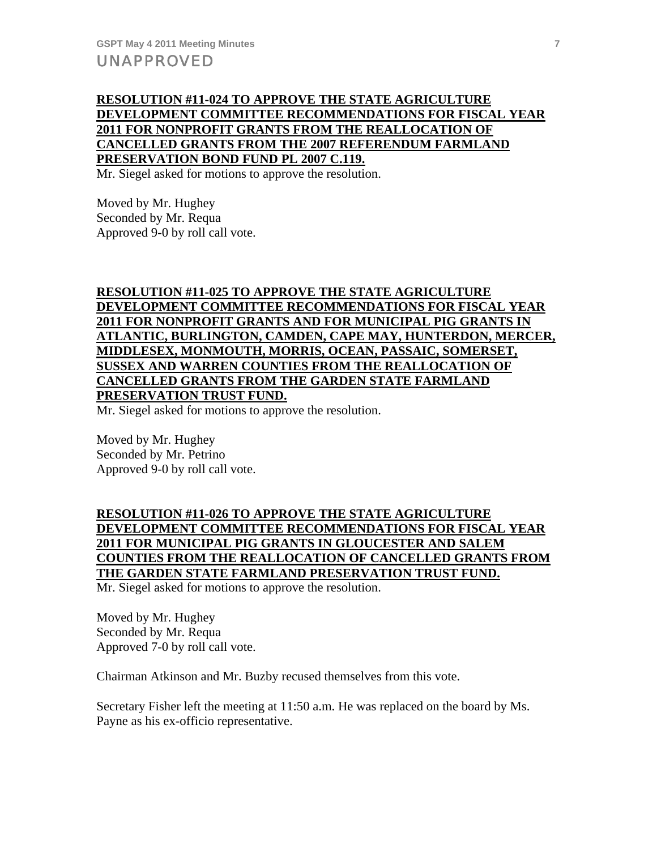## **RESOLUTION #11-024 TO APPROVE THE STATE AGRICULTURE DEVELOPMENT COMMITTEE RECOMMENDATIONS FOR FISCAL YEAR 2011 FOR NONPROFIT GRANTS FROM THE REALLOCATION OF CANCELLED GRANTS FROM THE 2007 REFERENDUM FARMLAND PRESERVATION BOND FUND PL 2007 C.119.**

Mr. Siegel asked for motions to approve the resolution.

Moved by Mr. Hughey Seconded by Mr. Requa Approved 9-0 by roll call vote.

# **RESOLUTION #11-025 TO APPROVE THE STATE AGRICULTURE DEVELOPMENT COMMITTEE RECOMMENDATIONS FOR FISCAL YEAR 2011 FOR NONPROFIT GRANTS AND FOR MUNICIPAL PIG GRANTS IN ATLANTIC, BURLINGTON, CAMDEN, CAPE MAY, HUNTERDON, MERCER, MIDDLESEX, MONMOUTH, MORRIS, OCEAN, PASSAIC, SOMERSET, SUSSEX AND WARREN COUNTIES FROM THE REALLOCATION OF CANCELLED GRANTS FROM THE GARDEN STATE FARMLAND PRESERVATION TRUST FUND.**

Mr. Siegel asked for motions to approve the resolution.

Moved by Mr. Hughey Seconded by Mr. Petrino Approved 9-0 by roll call vote.

# **RESOLUTION #11-026 TO APPROVE THE STATE AGRICULTURE DEVELOPMENT COMMITTEE RECOMMENDATIONS FOR FISCAL YEAR 2011 FOR MUNICIPAL PIG GRANTS IN GLOUCESTER AND SALEM COUNTIES FROM THE REALLOCATION OF CANCELLED GRANTS FROM THE GARDEN STATE FARMLAND PRESERVATION TRUST FUND.**

Mr. Siegel asked for motions to approve the resolution.

Moved by Mr. Hughey Seconded by Mr. Requa Approved 7-0 by roll call vote.

Chairman Atkinson and Mr. Buzby recused themselves from this vote.

Secretary Fisher left the meeting at 11:50 a.m. He was replaced on the board by Ms. Payne as his ex-officio representative.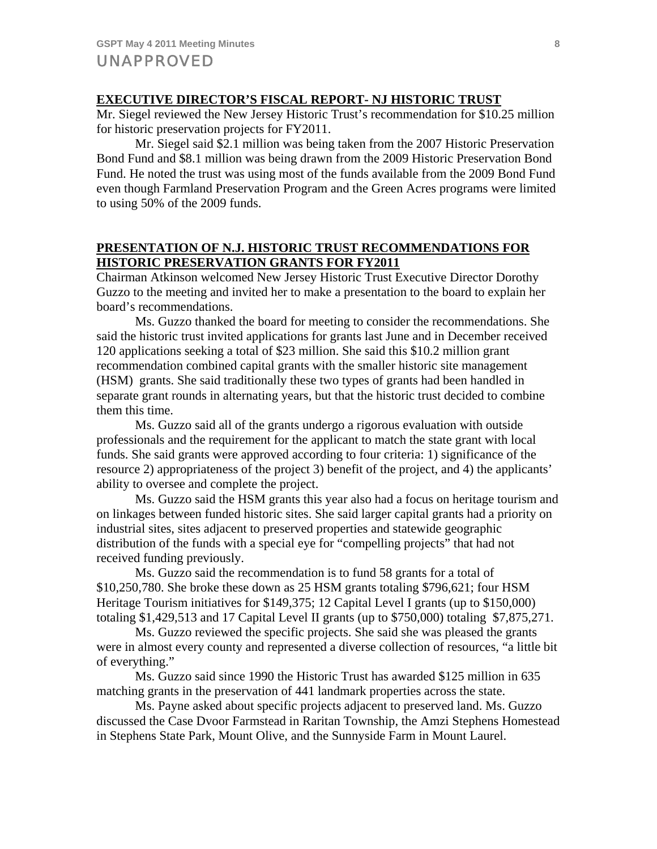## **EXECUTIVE DIRECTOR'S FISCAL REPORT- NJ HISTORIC TRUST**

Mr. Siegel reviewed the New Jersey Historic Trust's recommendation for \$10.25 million for historic preservation projects for FY2011.

 Mr. Siegel said \$2.1 million was being taken from the 2007 Historic Preservation Bond Fund and \$8.1 million was being drawn from the 2009 Historic Preservation Bond Fund. He noted the trust was using most of the funds available from the 2009 Bond Fund even though Farmland Preservation Program and the Green Acres programs were limited to using 50% of the 2009 funds.

## **PRESENTATION OF N.J. HISTORIC TRUST RECOMMENDATIONS FOR HISTORIC PRESERVATION GRANTS FOR FY2011**

Chairman Atkinson welcomed New Jersey Historic Trust Executive Director Dorothy Guzzo to the meeting and invited her to make a presentation to the board to explain her board's recommendations.

 Ms. Guzzo thanked the board for meeting to consider the recommendations. She said the historic trust invited applications for grants last June and in December received 120 applications seeking a total of \$23 million. She said this \$10.2 million grant recommendation combined capital grants with the smaller historic site management (HSM) grants. She said traditionally these two types of grants had been handled in separate grant rounds in alternating years, but that the historic trust decided to combine them this time.

 Ms. Guzzo said all of the grants undergo a rigorous evaluation with outside professionals and the requirement for the applicant to match the state grant with local funds. She said grants were approved according to four criteria: 1) significance of the resource 2) appropriateness of the project 3) benefit of the project, and 4) the applicants' ability to oversee and complete the project.

 Ms. Guzzo said the HSM grants this year also had a focus on heritage tourism and on linkages between funded historic sites. She said larger capital grants had a priority on industrial sites, sites adjacent to preserved properties and statewide geographic distribution of the funds with a special eye for "compelling projects" that had not received funding previously.

 Ms. Guzzo said the recommendation is to fund 58 grants for a total of \$10,250,780. She broke these down as 25 HSM grants totaling \$796,621; four HSM Heritage Tourism initiatives for \$149,375; 12 Capital Level I grants (up to \$150,000) totaling \$1,429,513 and 17 Capital Level II grants (up to \$750,000) totaling \$7,875,271.

 Ms. Guzzo reviewed the specific projects. She said she was pleased the grants were in almost every county and represented a diverse collection of resources, "a little bit of everything."

 Ms. Guzzo said since 1990 the Historic Trust has awarded \$125 million in 635 matching grants in the preservation of 441 landmark properties across the state.

 Ms. Payne asked about specific projects adjacent to preserved land. Ms. Guzzo discussed the Case Dvoor Farmstead in Raritan Township, the Amzi Stephens Homestead in Stephens State Park, Mount Olive, and the Sunnyside Farm in Mount Laurel.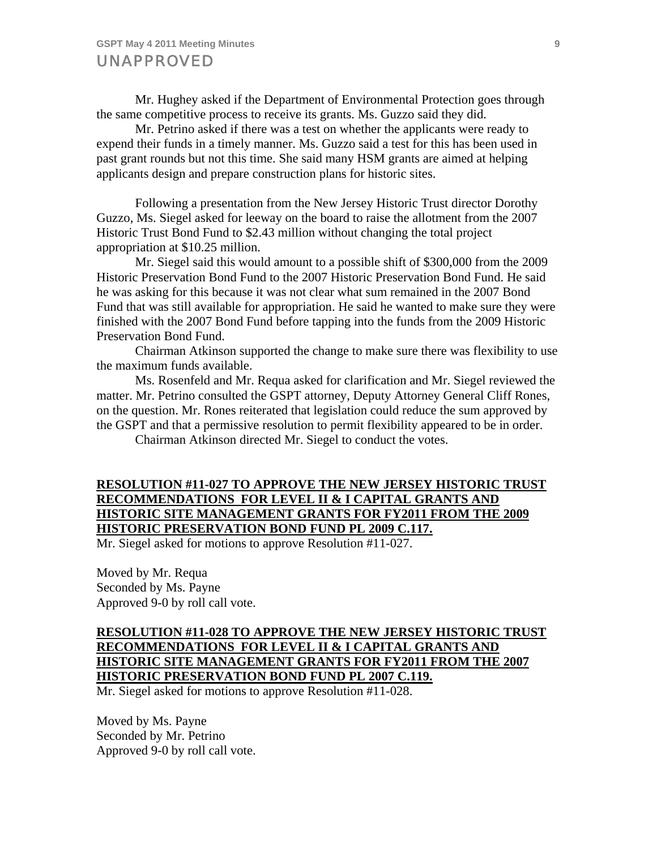Mr. Hughey asked if the Department of Environmental Protection goes through the same competitive process to receive its grants. Ms. Guzzo said they did.

 Mr. Petrino asked if there was a test on whether the applicants were ready to expend their funds in a timely manner. Ms. Guzzo said a test for this has been used in past grant rounds but not this time. She said many HSM grants are aimed at helping applicants design and prepare construction plans for historic sites.

 Following a presentation from the New Jersey Historic Trust director Dorothy Guzzo, Ms. Siegel asked for leeway on the board to raise the allotment from the 2007 Historic Trust Bond Fund to \$2.43 million without changing the total project appropriation at \$10.25 million.

 Mr. Siegel said this would amount to a possible shift of \$300,000 from the 2009 Historic Preservation Bond Fund to the 2007 Historic Preservation Bond Fund. He said he was asking for this because it was not clear what sum remained in the 2007 Bond Fund that was still available for appropriation. He said he wanted to make sure they were finished with the 2007 Bond Fund before tapping into the funds from the 2009 Historic Preservation Bond Fund.

 Chairman Atkinson supported the change to make sure there was flexibility to use the maximum funds available.

 Ms. Rosenfeld and Mr. Requa asked for clarification and Mr. Siegel reviewed the matter. Mr. Petrino consulted the GSPT attorney, Deputy Attorney General Cliff Rones, on the question. Mr. Rones reiterated that legislation could reduce the sum approved by the GSPT and that a permissive resolution to permit flexibility appeared to be in order.

Chairman Atkinson directed Mr. Siegel to conduct the votes.

## **RESOLUTION #11-027 TO APPROVE THE NEW JERSEY HISTORIC TRUST RECOMMENDATIONS FOR LEVEL II & I CAPITAL GRANTS AND HISTORIC SITE MANAGEMENT GRANTS FOR FY2011 FROM THE 2009 HISTORIC PRESERVATION BOND FUND PL 2009 C.117.**

Mr. Siegel asked for motions to approve Resolution #11-027.

Moved by Mr. Requa Seconded by Ms. Payne Approved 9-0 by roll call vote.

# **RESOLUTION #11-028 TO APPROVE THE NEW JERSEY HISTORIC TRUST RECOMMENDATIONS FOR LEVEL II & I CAPITAL GRANTS AND HISTORIC SITE MANAGEMENT GRANTS FOR FY2011 FROM THE 2007 HISTORIC PRESERVATION BOND FUND PL 2007 C.119.**

Mr. Siegel asked for motions to approve Resolution #11-028.

Moved by Ms. Payne Seconded by Mr. Petrino Approved 9-0 by roll call vote.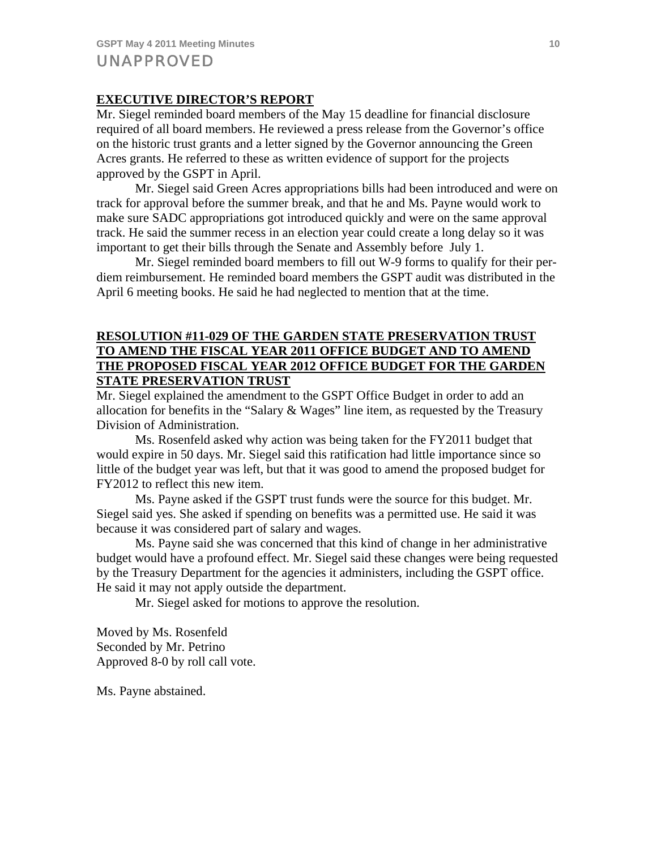# **EXECUTIVE DIRECTOR'S REPORT**

Mr. Siegel reminded board members of the May 15 deadline for financial disclosure required of all board members. He reviewed a press release from the Governor's office on the historic trust grants and a letter signed by the Governor announcing the Green Acres grants. He referred to these as written evidence of support for the projects approved by the GSPT in April.

 Mr. Siegel said Green Acres appropriations bills had been introduced and were on track for approval before the summer break, and that he and Ms. Payne would work to make sure SADC appropriations got introduced quickly and were on the same approval track. He said the summer recess in an election year could create a long delay so it was important to get their bills through the Senate and Assembly before July 1.

 Mr. Siegel reminded board members to fill out W-9 forms to qualify for their perdiem reimbursement. He reminded board members the GSPT audit was distributed in the April 6 meeting books. He said he had neglected to mention that at the time.

## **RESOLUTION #11-029 OF THE GARDEN STATE PRESERVATION TRUST TO AMEND THE FISCAL YEAR 2011 OFFICE BUDGET AND TO AMEND THE PROPOSED FISCAL YEAR 2012 OFFICE BUDGET FOR THE GARDEN STATE PRESERVATION TRUST**

Mr. Siegel explained the amendment to the GSPT Office Budget in order to add an allocation for benefits in the "Salary & Wages" line item, as requested by the Treasury Division of Administration.

 Ms. Rosenfeld asked why action was being taken for the FY2011 budget that would expire in 50 days. Mr. Siegel said this ratification had little importance since so little of the budget year was left, but that it was good to amend the proposed budget for FY2012 to reflect this new item.

 Ms. Payne asked if the GSPT trust funds were the source for this budget. Mr. Siegel said yes. She asked if spending on benefits was a permitted use. He said it was because it was considered part of salary and wages.

 Ms. Payne said she was concerned that this kind of change in her administrative budget would have a profound effect. Mr. Siegel said these changes were being requested by the Treasury Department for the agencies it administers, including the GSPT office. He said it may not apply outside the department.

Mr. Siegel asked for motions to approve the resolution.

Moved by Ms. Rosenfeld Seconded by Mr. Petrino Approved 8-0 by roll call vote.

Ms. Payne abstained.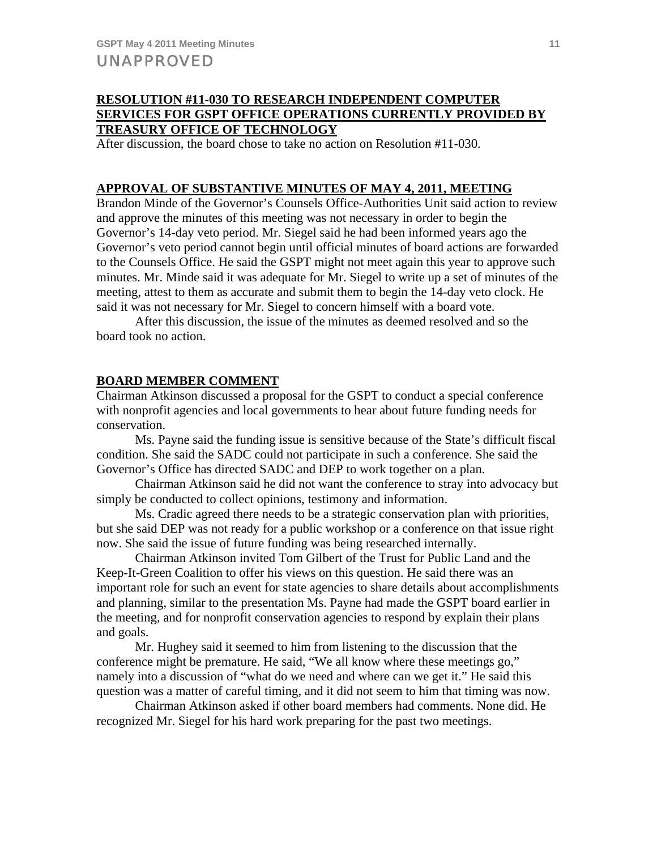# **RESOLUTION #11-030 TO RESEARCH INDEPENDENT COMPUTER SERVICES FOR GSPT OFFICE OPERATIONS CURRENTLY PROVIDED BY TREASURY OFFICE OF TECHNOLOGY**

After discussion, the board chose to take no action on Resolution #11-030.

## **APPROVAL OF SUBSTANTIVE MINUTES OF MAY 4, 2011, MEETING**

Brandon Minde of the Governor's Counsels Office-Authorities Unit said action to review and approve the minutes of this meeting was not necessary in order to begin the Governor's 14-day veto period. Mr. Siegel said he had been informed years ago the Governor's veto period cannot begin until official minutes of board actions are forwarded to the Counsels Office. He said the GSPT might not meet again this year to approve such minutes. Mr. Minde said it was adequate for Mr. Siegel to write up a set of minutes of the meeting, attest to them as accurate and submit them to begin the 14-day veto clock. He said it was not necessary for Mr. Siegel to concern himself with a board vote.

 After this discussion, the issue of the minutes as deemed resolved and so the board took no action.

#### **BOARD MEMBER COMMENT**

Chairman Atkinson discussed a proposal for the GSPT to conduct a special conference with nonprofit agencies and local governments to hear about future funding needs for conservation.

 Ms. Payne said the funding issue is sensitive because of the State's difficult fiscal condition. She said the SADC could not participate in such a conference. She said the Governor's Office has directed SADC and DEP to work together on a plan.

 Chairman Atkinson said he did not want the conference to stray into advocacy but simply be conducted to collect opinions, testimony and information.

 Ms. Cradic agreed there needs to be a strategic conservation plan with priorities, but she said DEP was not ready for a public workshop or a conference on that issue right now. She said the issue of future funding was being researched internally.

 Chairman Atkinson invited Tom Gilbert of the Trust for Public Land and the Keep-It-Green Coalition to offer his views on this question. He said there was an important role for such an event for state agencies to share details about accomplishments and planning, similar to the presentation Ms. Payne had made the GSPT board earlier in the meeting, and for nonprofit conservation agencies to respond by explain their plans and goals.

 Mr. Hughey said it seemed to him from listening to the discussion that the conference might be premature. He said, "We all know where these meetings go," namely into a discussion of "what do we need and where can we get it." He said this question was a matter of careful timing, and it did not seem to him that timing was now.

 Chairman Atkinson asked if other board members had comments. None did. He recognized Mr. Siegel for his hard work preparing for the past two meetings.